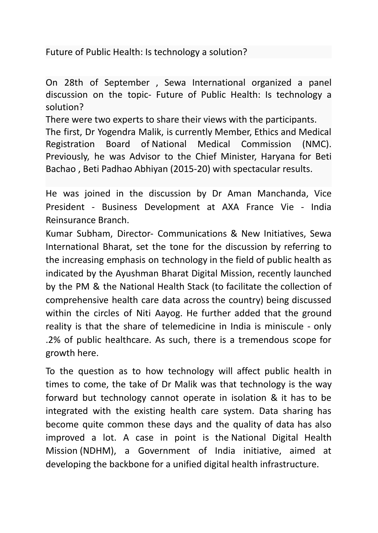## Future of Public Health: Is technology a solution?

On 28th of September , Sewa International organized a panel discussion on the topic- Future of Public Health: Is technology a solution?

There were two experts to share their views with the participants. The first, Dr Yogendra Malik, is currently Member, Ethics and Medical Registration Board of National Medical [Commission](https://www.nmc.org.in/) (NMC). Previously, he was Advisor to the Chief Minister, Haryana for Beti Bachao , Beti Padhao Abhiyan (2015-20) with spectacular results.

He was joined in the discussion by Dr Aman Manchanda, Vice President - Business Development at AXA France Vie - India Reinsurance Branch.

Kumar Subham, Director- Communications & New Initiatives, Sewa International Bharat, set the tone for the discussion by referring to the increasing emphasis on technology in the field of public health as indicated by the Ayushman Bharat Digital Mission, recently launched by the PM & the National Health Stack (to facilitate the collection of comprehensive health care data across the country) being discussed within the circles of Niti Aayog. He further added that the ground reality is that the share of telemedicine in India is miniscule - only .2% of public healthcare. As such, there is a tremendous scope for growth here.

To the question as to how technology will affect public health in times to come, the take of Dr Malik was that technology is the way forward but technology cannot operate in isolation & it has to be integrated with the existing health care system. Data sharing has become quite common these days and the quality of data has also improved a lot. A case in point is the National Digital Health Mission (NDHM), a Government of India initiative, aimed at developing the backbone for a unified digital health infrastructure.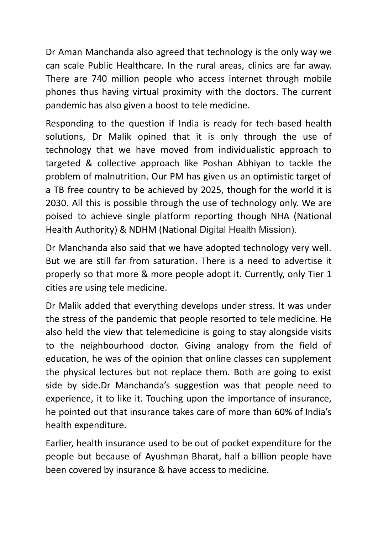Dr Aman Manchanda also agreed that technology is the only way we can scale Public Healthcare. In the rural areas, clinics are far away. There are 740 million people who access internet through mobile phones thus having virtual proximity with the doctors. The current pandemic has also given a boost to tele medicine.

Responding to the question if India is ready for tech-based health solutions, Dr Malik opined that it is only through the use of technology that we have moved from individualistic approach to targeted & collective approach like Poshan Abhiyan to tackle the problem of malnutrition. Our PM has given us an optimistic target of a TB free country to be achieved by 2025, though for the world it is 2030. All this is possible through the use of technology only. We are poised to achieve single platform reporting though NHA (National Health Authority) & NDHM (National Digital Health Mission).

Dr Manchanda also said that we have adopted technology very well. But we are still far from saturation. There is a need to advertise it properly so that more & more people adopt it. Currently, only Tier 1 cities are using tele medicine.

Dr Malik added that everything develops under stress. It was under the stress of the pandemic that people resorted to tele medicine. He also held the view that telemedicine is going to stay alongside visits to the neighbourhood doctor. Giving analogy from the field of education, he was of the opinion that online classes can supplement the physical lectures but not replace them. Both are going to exist side by side.Dr Manchanda's suggestion was that people need to experience, it to like it. Touching upon the importance of insurance, he pointed out that insurance takes care of more than 60% of India's health expenditure.

Earlier, health insurance used to be out of pocket expenditure for the people but because of Ayushman Bharat, half a billion people have been covered by insurance & have access to medicine.